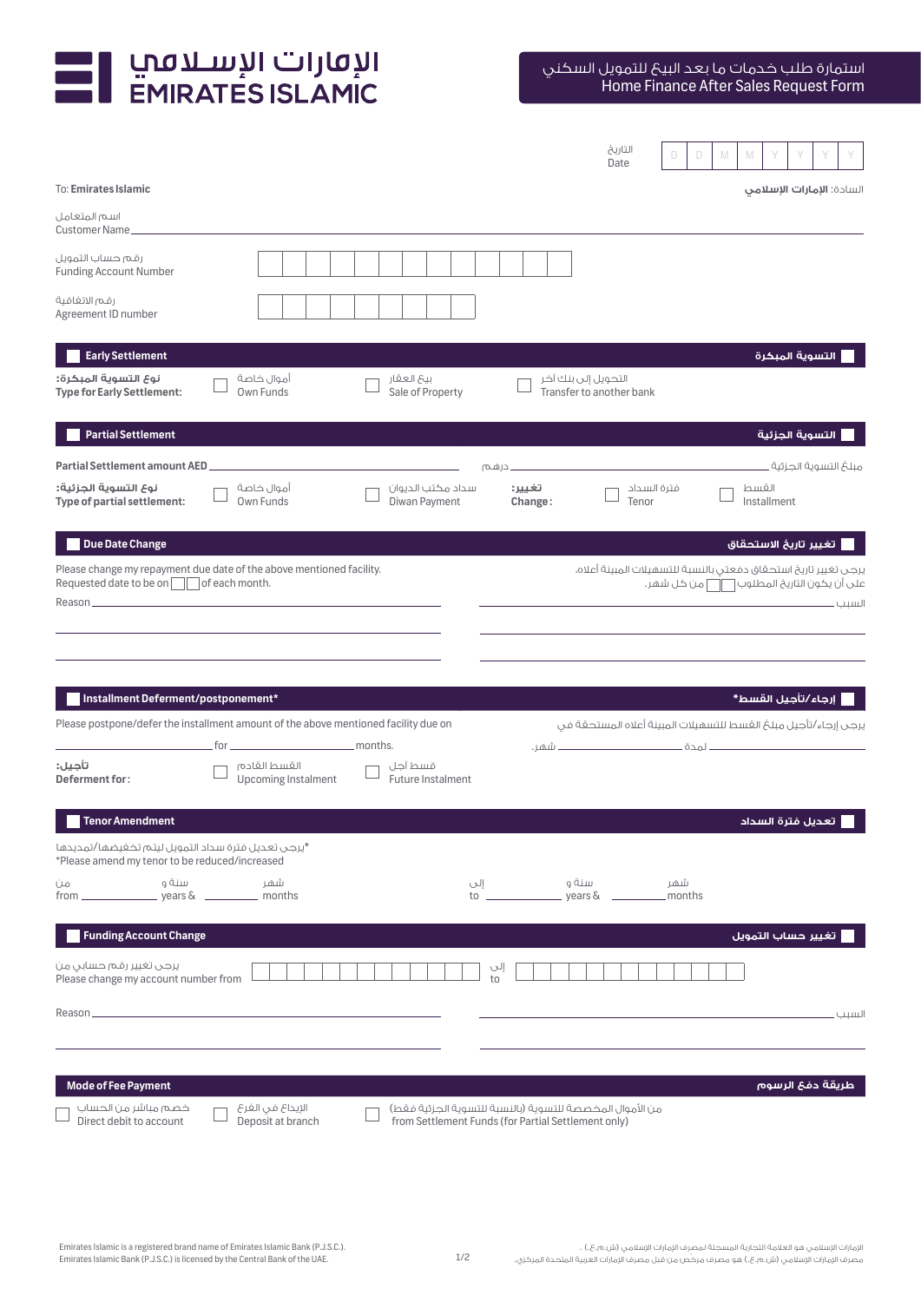

|                                                                                                                |                                                      |                                    |                     | التاريخ<br>D.<br>D<br>Date | M<br>M                                                                                                                                  |
|----------------------------------------------------------------------------------------------------------------|------------------------------------------------------|------------------------------------|---------------------|----------------------------|-----------------------------------------------------------------------------------------------------------------------------------------|
| To: Emirates Islamic                                                                                           |                                                      |                                    |                     |                            | السادة: <b>الإمارات الإسلامى</b>                                                                                                        |
| اسم المتعامل<br>Customer Name_                                                                                 |                                                      |                                    |                     |                            |                                                                                                                                         |
| رقم حساب التمويل<br><b>Funding Account Number</b>                                                              |                                                      |                                    |                     |                            |                                                                                                                                         |
| رقم الاتفاقية<br>Agreement ID number                                                                           |                                                      |                                    |                     |                            |                                                                                                                                         |
| <b>Early Settlement</b>                                                                                        |                                                      |                                    |                     |                            | التسوية المبكرة                                                                                                                         |
| نوع التسوية المبكرة:<br><b>Type for Early Settlement:</b>                                                      | آموال خاصة<br>Own Funds                              | بيع العقار<br>Sale of Property     | التحويل إلى بنك آخر | Transfer to another bank   |                                                                                                                                         |
| <b>Partial Settlement</b>                                                                                      |                                                      |                                    |                     |                            | التسوية الجزئية                                                                                                                         |
| <b>Partial Settlement amount AED</b>                                                                           |                                                      |                                    | . درهم              |                            | مىلغ التسوية الحزئية .                                                                                                                  |
| نوع التسوية الجزئية:<br>Type of partial settlement:                                                            | أموال خاصة<br>Own Funds                              | سداد مكتب الديوان<br>Diwan Payment | تغيير:<br>Change:   | فترة السداد<br>Tenor       | القسط<br>Installment                                                                                                                    |
| <b>Due Date Change</b>                                                                                         |                                                      |                                    |                     |                            | تغيير تاريخ الاستحقاق                                                                                                                   |
| Please change my repayment due date of the above mentioned facility.<br>Requested date to be on of each month. |                                                      |                                    |                     |                            | يرجى تغيير تاريخ استحقاق دفعتى بالنسبة للتسهيلات المبينة أعلاه،<br>على أن يكون التاريخ المطلوب $\overline{\bigcap}$ من كل شهر.<br>السبب |
|                                                                                                                |                                                      |                                    |                     |                            |                                                                                                                                         |
|                                                                                                                |                                                      |                                    |                     |                            |                                                                                                                                         |
| Installment Deferment/postponement*                                                                            |                                                      |                                    |                     |                            | إرجاء/تأجيل القسط*                                                                                                                      |
| Please postpone/defer the installment amount of the above mentioned facility due on                            |                                                      |                                    |                     |                            | يرجى إرجاء/تأجيل مبلغ القسط للتسهيلات المبينة أعلاه المستحقة فى                                                                         |
| تأجيل:<br>Deferment for:                                                                                       | $for _______$<br>القسط القادم<br>Upcoming Instalment | قسط آحل<br>Future Instalment       |                     |                            |                                                                                                                                         |
| <b>Tenor Amendment</b>                                                                                         |                                                      |                                    |                     |                            | تعديل فترة السداد                                                                                                                       |
| *يرجى تعديل فترة سداد التمويل ليتم تخفيضها/تمديدها<br>*Please amend my tenor to be reduced/increased           |                                                      |                                    |                     |                            |                                                                                                                                         |
| سنة و<br>Üю<br>$from \_\_$                                                                                     | شهر                                                  |                                    | سنة و               |                            |                                                                                                                                         |
| <b>Funding Account Change</b>                                                                                  |                                                      |                                    |                     |                            | تغيير حساب التمويل                                                                                                                      |
| يرجى تغيير رقم حسابي من<br>Please change my account number from                                                |                                                      |                                    | إلى<br>to           |                            |                                                                                                                                         |
| Reason_                                                                                                        |                                                      |                                    |                     |                            | السنب                                                                                                                                   |
|                                                                                                                |                                                      |                                    |                     |                            |                                                                                                                                         |
| <b>Mode of Fee Payment</b>                                                                                     |                                                      |                                    |                     |                            |                                                                                                                                         |
|                                                                                                                |                                                      |                                    |                     |                            | طريقة دفئ الرسوم                                                                                                                        |